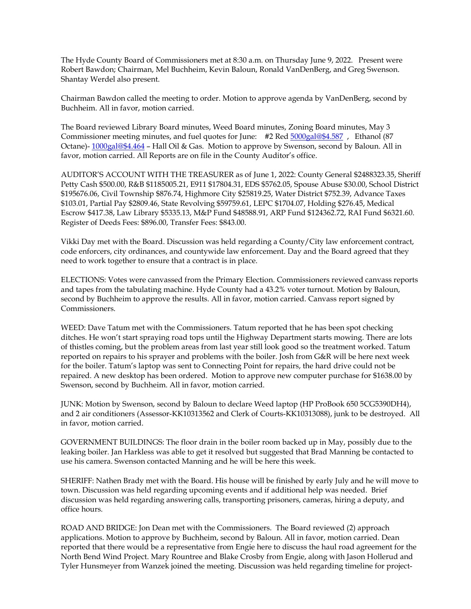The Hyde County Board of Commissioners met at 8:30 a.m. on Thursday June 9, 2022. Present were Robert Bawdon; Chairman, Mel Buchheim, Kevin Baloun, Ronald VanDenBerg, and Greg Swenson. Shantay Werdel also present.

Chairman Bawdon called the meeting to order. Motion to approve agenda by VanDenBerg, second by Buchheim. All in favor, motion carried.

The Board reviewed Library Board minutes, Weed Board minutes, Zoning Board minutes, May 3 Commissioner meeting minutes, and fuel quotes for June: #2 Red [5000gal@\\$4.587](mailto:5000gal@$4.587) , Ethanol (87 Octane)- [1000gal@\\$4.464](mailto:1000gal@$4.464) – Hall Oil & Gas. Motion to approve by Swenson, second by Baloun. All in favor, motion carried. All Reports are on file in the County Auditor's office.

AUDITOR'S ACCOUNT WITH THE TREASURER as of June 1, 2022: County General \$2488323.35, Sheriff Petty Cash \$500.00, R&B \$1185005.21, E911 \$17804.31, EDS \$5762.05, Spouse Abuse \$30.00, School District \$195676.06, Civil Township \$876.74, Highmore City \$25819.25, Water District \$752.39, Advance Taxes \$103.01, Partial Pay \$2809.46, State Revolving \$59759.61, LEPC \$1704.07, Holding \$276.45, Medical Escrow \$417.38, Law Library \$5335.13, M&P Fund \$48588.91, ARP Fund \$124362.72, RAI Fund \$6321.60. Register of Deeds Fees: \$896.00, Transfer Fees: \$843.00.

Vikki Day met with the Board. Discussion was held regarding a County/City law enforcement contract, code enforcers, city ordinances, and countywide law enforcement. Day and the Board agreed that they need to work together to ensure that a contract is in place.

ELECTIONS: Votes were canvassed from the Primary Election. Commissioners reviewed canvass reports and tapes from the tabulating machine. Hyde County had a 43.2% voter turnout. Motion by Baloun, second by Buchheim to approve the results. All in favor, motion carried. Canvass report signed by Commissioners.

WEED: Dave Tatum met with the Commissioners. Tatum reported that he has been spot checking ditches. He won't start spraying road tops until the Highway Department starts mowing. There are lots of thistles coming, but the problem areas from last year still look good so the treatment worked. Tatum reported on repairs to his sprayer and problems with the boiler. Josh from G&R will be here next week for the boiler. Tatum's laptop was sent to Connecting Point for repairs, the hard drive could not be repaired. A new desktop has been ordered. Motion to approve new computer purchase for \$1638.00 by Swenson, second by Buchheim. All in favor, motion carried.

JUNK: Motion by Swenson, second by Baloun to declare Weed laptop (HP ProBook 650 5CG5390DH4), and 2 air conditioners (Assessor-KK10313562 and Clerk of Courts-KK10313088), junk to be destroyed. All in favor, motion carried.

GOVERNMENT BUILDINGS: The floor drain in the boiler room backed up in May, possibly due to the leaking boiler. Jan Harkless was able to get it resolved but suggested that Brad Manning be contacted to use his camera. Swenson contacted Manning and he will be here this week.

SHERIFF: Nathen Brady met with the Board. His house will be finished by early July and he will move to town. Discussion was held regarding upcoming events and if additional help was needed. Brief discussion was held regarding answering calls, transporting prisoners, cameras, hiring a deputy, and office hours.

ROAD AND BRIDGE: Jon Dean met with the Commissioners. The Board reviewed (2) approach applications. Motion to approve by Buchheim, second by Baloun. All in favor, motion carried. Dean reported that there would be a representative from Engie here to discuss the haul road agreement for the North Bend Wind Project. Mary Rountree and Blake Crosby from Engie, along with Jason Hollerud and Tyler Hunsmeyer from Wanzek joined the meeting. Discussion was held regarding timeline for project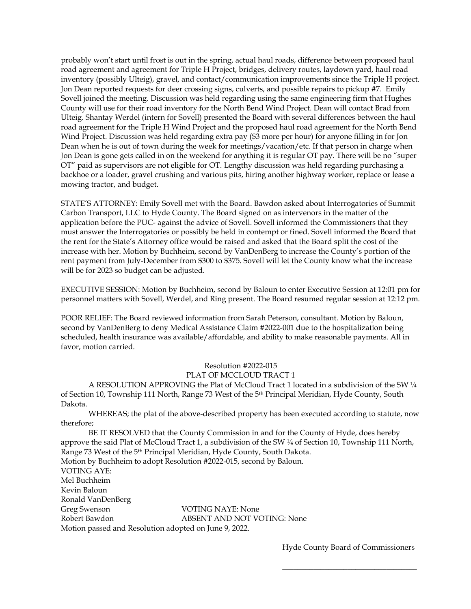probably won't start until frost is out in the spring, actual haul roads, difference between proposed haul road agreement and agreement for Triple H Project, bridges, delivery routes, laydown yard, haul road inventory (possibly Ulteig), gravel, and contact/communication improvements since the Triple H project. Jon Dean reported requests for deer crossing signs, culverts, and possible repairs to pickup #7. Emily Sovell joined the meeting. Discussion was held regarding using the same engineering firm that Hughes County will use for their road inventory for the North Bend Wind Project. Dean will contact Brad from Ulteig. Shantay Werdel (intern for Sovell) presented the Board with several differences between the haul road agreement for the Triple H Wind Project and the proposed haul road agreement for the North Bend Wind Project. Discussion was held regarding extra pay (\$3 more per hour) for anyone filling in for Jon Dean when he is out of town during the week for meetings/vacation/etc. If that person in charge when Jon Dean is gone gets called in on the weekend for anything it is regular OT pay. There will be no "super OT" paid as supervisors are not eligible for OT. Lengthy discussion was held regarding purchasing a backhoe or a loader, gravel crushing and various pits, hiring another highway worker, replace or lease a mowing tractor, and budget.

STATE'S ATTORNEY: Emily Sovell met with the Board. Bawdon asked about Interrogatories of Summit Carbon Transport, LLC to Hyde County. The Board signed on as intervenors in the matter of the application before the PUC- against the advice of Sovell. Sovell informed the Commissioners that they must answer the Interrogatories or possibly be held in contempt or fined. Sovell informed the Board that the rent for the State's Attorney office would be raised and asked that the Board split the cost of the increase with her. Motion by Buchheim, second by VanDenBerg to increase the County's portion of the rent payment from July-December from \$300 to \$375. Sovell will let the County know what the increase will be for 2023 so budget can be adjusted.

EXECUTIVE SESSION: Motion by Buchheim, second by Baloun to enter Executive Session at 12:01 pm for personnel matters with Sovell, Werdel, and Ring present. The Board resumed regular session at 12:12 pm.

POOR RELIEF: The Board reviewed information from Sarah Peterson, consultant. Motion by Baloun, second by VanDenBerg to deny Medical Assistance Claim #2022-001 due to the hospitalization being scheduled, health insurance was available/affordable, and ability to make reasonable payments. All in favor, motion carried.

## Resolution #2022-015

## PLAT OF MCCLOUD TRACT 1

A RESOLUTION APPROVING the Plat of McCloud Tract 1 located in a subdivision of the SW ¼ of Section 10, Township 111 North, Range 73 West of the 5th Principal Meridian, Hyde County, South Dakota.

WHEREAS; the plat of the above-described property has been executed according to statute, now therefore;

BE IT RESOLVED that the County Commission in and for the County of Hyde, does hereby approve the said Plat of McCloud Tract 1, a subdivision of the SW ¼ of Section 10, Township 111 North, Range 73 West of the 5th Principal Meridian, Hyde County, South Dakota. Motion by Buchheim to adopt Resolution #2022-015, second by Baloun. VOTING AYE: Mel Buchheim Kevin Baloun Ronald VanDenBerg Greg Swenson VOTING NAYE: None Robert Bawdon **ABSENT AND NOT VOTING: None** Motion passed and Resolution adopted on June 9, 2022.

Hyde County Board of Commissioners

\_\_\_\_\_\_\_\_\_\_\_\_\_\_\_\_\_\_\_\_\_\_\_\_\_\_\_\_\_\_\_\_\_\_\_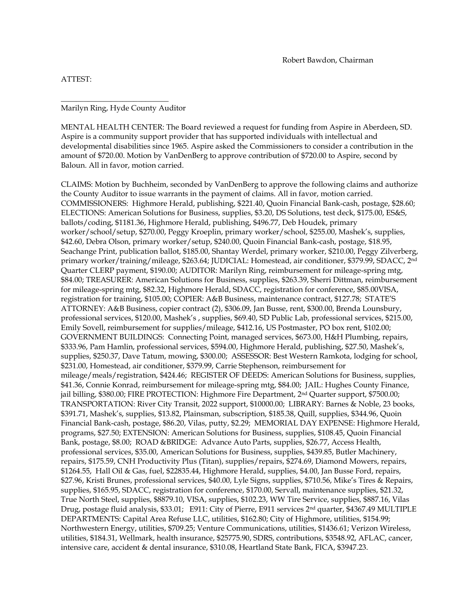ATTEST:

## Marilyn Ring, Hyde County Auditor

\_\_\_\_\_\_\_\_\_\_\_\_\_\_\_\_\_\_\_\_\_\_\_\_\_\_\_\_

MENTAL HEALTH CENTER: The Board reviewed a request for funding from Aspire in Aberdeen, SD. Aspire is a community support provider that has supported individuals with intellectual and developmental disabilities since 1965. Aspire asked the Commissioners to consider a contribution in the amount of \$720.00. Motion by VanDenBerg to approve contribution of \$720.00 to Aspire, second by Baloun. All in favor, motion carried.

CLAIMS: Motion by Buchheim, seconded by VanDenBerg to approve the following claims and authorize the County Auditor to issue warrants in the payment of claims. All in favor, motion carried. COMMISSIONERS: Highmore Herald, publishing, \$221.40, Quoin Financial Bank-cash, postage, \$28.60; ELECTIONS: American Solutions for Business, supplies, \$3.20, DS Solutions, test deck, \$175.00, ES&S, ballots/coding, \$1181.36, Highmore Herald, publishing, \$496.77, Deb Houdek, primary worker/school/setup, \$270.00, Peggy Kroeplin, primary worker/school, \$255.00, Mashek's, supplies, \$42.60, Debra Olson, primary worker/setup, \$240.00, Quoin Financial Bank-cash, postage, \$18.95, Seachange Print, publication ballot, \$185.00, Shantay Werdel, primary worker, \$210.00, Peggy Zilverberg, primary worker/training/mileage, \$263.64; JUDICIAL: Homestead, air conditioner, \$379.99, SDACC, 2nd Quarter CLERP payment, \$190.00; AUDITOR: Marilyn Ring, reimbursement for mileage-spring mtg, \$84.00; TREASURER: American Solutions for Business, supplies, \$263.39, Sherri Dittman, reimbursement for mileage-spring mtg, \$82.32, Highmore Herald, SDACC, registration for conference, \$85.00VISA, registration for training, \$105.00; COPIER: A&B Business, maintenance contract, \$127.78; STATE'S ATTORNEY: A&B Business, copier contract (2), \$306.09, Jan Busse, rent, \$300.00, Brenda Lounsbury, professional services, \$120.00, Mashek's , supplies, \$69.40, SD Public Lab, professional services, \$215.00, Emily Sovell, reimbursement for supplies/mileage, \$412.16, US Postmaster, PO box rent, \$102.00; GOVERNMENT BUILDINGS: Connecting Point, managed services, \$673.00, H&H Plumbing, repairs, \$333.96, Pam Hamlin, professional services, \$594.00, Highmore Herald, publishing, \$27.50, Mashek's, supplies, \$250.37, Dave Tatum, mowing, \$300.00; ASSESSOR: Best Western Ramkota, lodging for school, \$231.00, Homestead, air conditioner, \$379.99, Carrie Stephenson, reimbursement for mileage/meals/registration, \$424.46; REGISTER OF DEEDS: American Solutions for Business, supplies, \$41.36, Connie Konrad, reimbursement for mileage-spring mtg, \$84.00; JAIL: Hughes County Finance, jail billing, \$380.00; FIRE PROTECTION: Highmore Fire Department, 2nd Quarter support, \$7500.00; TRANSPORTATION: River City Transit, 2022 support, \$10000.00; LIBRARY: Barnes & Noble, 23 books, \$391.71, Mashek's, supplies, \$13.82, Plainsman, subscription, \$185.38, Quill, supplies, \$344.96, Quoin Financial Bank-cash, postage, \$86.20, Vilas, putty, \$2.29; MEMORIAL DAY EXPENSE: Highmore Herald, programs, \$27.50; EXTENSION: American Solutions for Business, supplies, \$108.45, Quoin Financial Bank, postage, \$8.00; ROAD &BRIDGE: Advance Auto Parts, supplies, \$26.77, Access Health, professional services, \$35.00, American Solutions for Business, supplies, \$439.85, Butler Machinery, repairs, \$175.59, CNH Productivity Plus (Titan), supplies/repairs, \$274.69, Diamond Mowers, repairs, \$1264.55, Hall Oil & Gas, fuel, \$22835.44, Highmore Herald, supplies, \$4.00, Jan Busse Ford, repairs, \$27.96, Kristi Brunes, professional services, \$40.00, Lyle Signs, supplies, \$710.56, Mike's Tires & Repairs, supplies, \$165.95, SDACC, registration for conference, \$170.00, Servall, maintenance supplies, \$21.32, True North Steel, supplies, \$8879.10, VISA, supplies, \$102.23, WW Tire Service, supplies, \$887.16, Vilas Drug, postage fluid analysis, \$33.01; E911: City of Pierre, E911 services 2<sup>nd</sup> quarter, \$4367.49 MULTIPLE DEPARTMENTS: Capital Area Refuse LLC, utilities, \$162.80; City of Highmore, utilities, \$154.99; Northwestern Energy, utilities, \$709.25; Venture Communications, utilities, \$1436.61; Verizon Wireless, utilities, \$184.31, Wellmark, health insurance, \$25775.90, SDRS, contributions, \$3548.92, AFLAC, cancer, intensive care, accident & dental insurance, \$310.08, Heartland State Bank, FICA, \$3947.23.